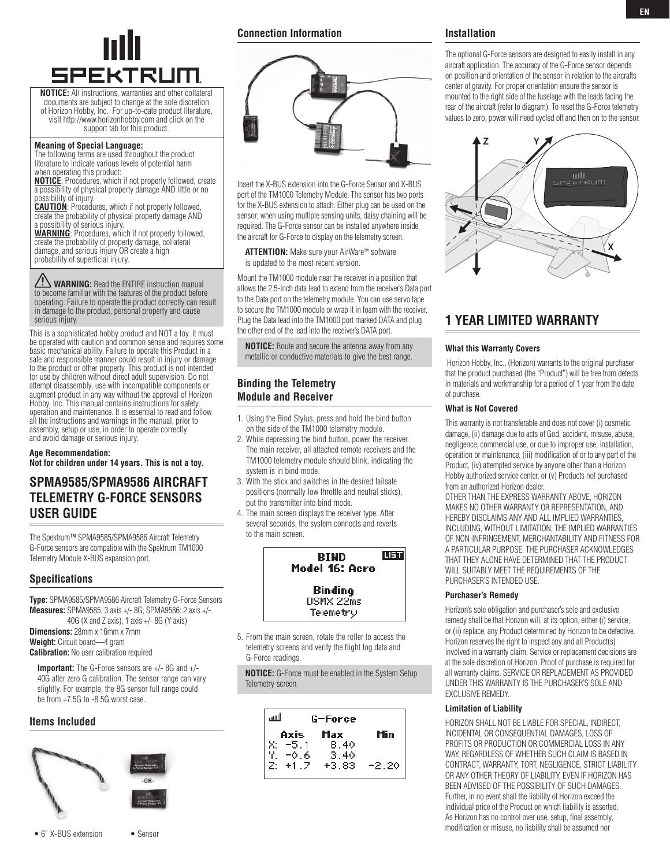

**NOTICE:** All instructions, warranties and other collateral documents are subject to change at the sole discretion of Horizon Hobby, Inc. For up-to-date product literature, visit http://www.horizonhobby.com and click on the support tab for this product.

#### **Meaning of Special Language:**

The following terms are used throughout the product literature to indicate various levels of potential harm when operating this product: **NOTICE**: Procedures, which if not properly followed, create

a possibility of physical property damage AND little or no possibility of injury. **CAUTION**: Procedures, which if not properly followed,

create the probability of physical property damage AND

a possibility of serious injury. **WARNING**: Procedures, which if not properly followed, create the probability of property damage, collateral damage, and serious injury OR create a high probability of superficial injury.

**WARNING:** Read the ENTIRE instruction manual to become familiar with the features of the product before operating. Failure to operate the product correctly can result in damage to the product, personal property and cause serious injury.

This is a sophisticated hobby product and NOT a toy. It must be operated with caution and common sense and requires some basic mechanical ability. Failure to operate this Product in a safe and responsible manner could result in injury or damage to the product or other property. This product is not intended for use by children without direct adult supervision. Do not attempt disassembly, use with incompatible components or augment product in any way without the approval of Horizon Hobby, Inc. This manual contains instructions for safety, operation and maintenance. It is essential to read and follow all the instructions and warnings in the manual, prior to assembly, setup or use, in order to operate correctly and avoid damage or serious injury.

**Age Recommendation: Not for children under 14 years. This is not a toy.**

## **SPMA9585/SPMA9586 Aircraft Telemetry G-Force sensors User Guide**

The Spektrum™ SPMA9585/SPMA9586 Aircraft Telemetry G-Force sensors are compatible with the Spektrum TM1000 Telemetry Module X-BUS expansion port.

#### **Specifications**

**Type:** SPMA9585/SPMA9586 Aircraft Telemetry G-Force Sensors **Measures:** SPMA9585: 3 axis +/- 8G; SPMA9586: 2 axis +/- 40G (X and Z axis), 1 axis +/- 8G (Y axis) **Dimensions:** 28mm x 16mm x 7mm

**Weight:** Circuit board—4 gram **Calibration:** No user calibration required

**Important:** The G-Force sensors are +/- 8G and +/- 40G after zero G calibration. The sensor range can vary slightly. For example, the 8G sensor full range could be from +7.5G to -8.5G worst case.

#### **Items Included**



#### **Connection Information**



Insert the X-BUS extension into the G-Force Sensor and X-BUS port of the TM1000 Telemetry Module. The sensor has two ports for the X-BUS extension to attach. Either plug can be used on the sensor; when using multiple sensing units, daisy chaining will be required. The G-Force sensor can be installed anywhere inside the aircraft for G-Force to display on the telemetry screen.

**ATTENTION:** Make sure your AirWare™ software is updated to the most recent version.

Mount the TM1000 module near the receiver in a position that allows the 2.5-inch data lead to extend from the receiver's Data port to the Data port on the telemetry module. You can use servo tape to secure the TM1000 module or wrap it in foam with the receiver. Plug the Data lead into the TM1000 port marked DATA and plug the other end of the lead into the receiver's DATA port.

**NOTICE:** Route and secure the antenna away from any metallic or conductive materials to give the best range.

### **Binding the Telemetry Module and Receiver**

- 1. Using the Bind Stylus, press and hold the bind button on the side of the TM1000 telemetry module.
- 2. While depressing the bind button, power the receiver. The main receiver, all attached remote receivers and the TM1000 telemetry module should blink, indicating the system is in bind mode.
- 3. With the stick and switches in the desired failsafe positions (normally low throttle and neutral sticks), put the transmitter into bind mode.
- 4. The main screen displays the receiver type. After several seconds, the system connects and reverts to the main screen.



5. From the main screen, rotate the roller to access the telemetry screens and verify the flight log data and G-Force readings.

**NOTICE:** G-Force must be enabled in the System Setup Telemetry screen.

| للس | G-Force |         |         |
|-----|---------|---------|---------|
|     | Axis    | Max     | Min     |
|     | $-5.1$  | 8.40    |         |
|     | $-0.6$  | 3.40    |         |
|     | $+1.7$  | $+3.83$ | $-2.20$ |

#### **Installation**

The optional G-Force sensors are designed to easily install in any aircraft application. The accuracy of the G-Force sensor depends on position and orientation of the sensor in relation to the aircrafts center of gravity. For proper orientation ensure the sensor is mounted to the right side of the fuselage with the leads facing the rear of the aircraft (refer to diagram). To reset the G-Force telemetry values to zero, power will need cycled off and then on to the sensor.



## **1 YEAR LIMITED WARRANTY**

#### **What this Warranty Covers**

 Horizon Hobby, Inc., (Horizon) warrants to the original purchaser that the product purchased (the "Product") will be free from defects in materials and workmanship for a period of 1 year from the date of purchase.

#### **What is Not Covered**

This warranty is not transferable and does not cover (i) cosmetic damage, (ii) damage due to acts of God, accident, misuse, abuse, negligence, commercial use, or due to improper use, installation, operation or maintenance, (iii) modification of or to any part of the Product, (iv) attempted service by anyone other than a Horizon Hobby authorized service center, or (v) Products not purchased from an authorized Horizon dealer.

OTHER THAN THE EXPRESS WARRANTY ABOVE, HORIZON MAKES NO OTHER WARRANTY OR REPRESENTATION, AND HEREBY DISCLAIMS ANY AND ALL IMPLIED WARRANTIES, INCLUDING, WITHOUT LIMITATION, THE IMPLIED WARRANTIES OF NON-INFRINGEMENT, MERCHANTABILITY AND FITNESS FOR A PARTICULAR PURPOSE. THE PURCHASER ACKNOWLEDGES THAT THEY ALONE HAVE DETERMINED THAT THE PRODUCT WILL SUITABLY MEET THE REQUIREMENTS OF THE PURCHASER'S INTENDED USE.

#### **Purchaser's Remedy**

Horizon's sole obligation and purchaser's sole and exclusive remedy shall be that Horizon will, at its option, either (i) service, or (ii) replace, any Product determined by Horizon to be defective. Horizon reserves the right to inspect any and all Product(s) involved in a warranty claim. Service or replacement decisions are at the sole discretion of Horizon. Proof of purchase is required for all warranty claims. SERVICE OR REPLACEMENT AS PROVIDED UNDER THIS WARRANTY IS THE PURCHASER'S SOLE AND EXCLUSIVE REMEDY.

#### **Limitation of Liability**

HORIZON SHALL NOT BE LIABLE FOR SPECIAL, INDIRECT, INCIDENTAL OR CONSEQUENTIAL DAMAGES, LOSS OF PROFITS OR PRODUCTION OR COMMERCIAL LOSS IN ANY WAY, REGARDLESS OF WHETHER SUCH CLAIM IS BASED IN CONTRACT, WARRANTY, TORT, NEGLIGENCE, STRICT LIABILITY OR ANY OTHER THEORY OF LIABILITY, EVEN IF HORIZON HAS BEEN ADVISED OF THE POSSIBILITY OF SUCH DAMAGES. Further, in no event shall the liability of Horizon exceed the individual price of the Product on which liability is asserted. As Horizon has no control over use, setup, final assembly, modification or misuse, no liability shall be assumed nor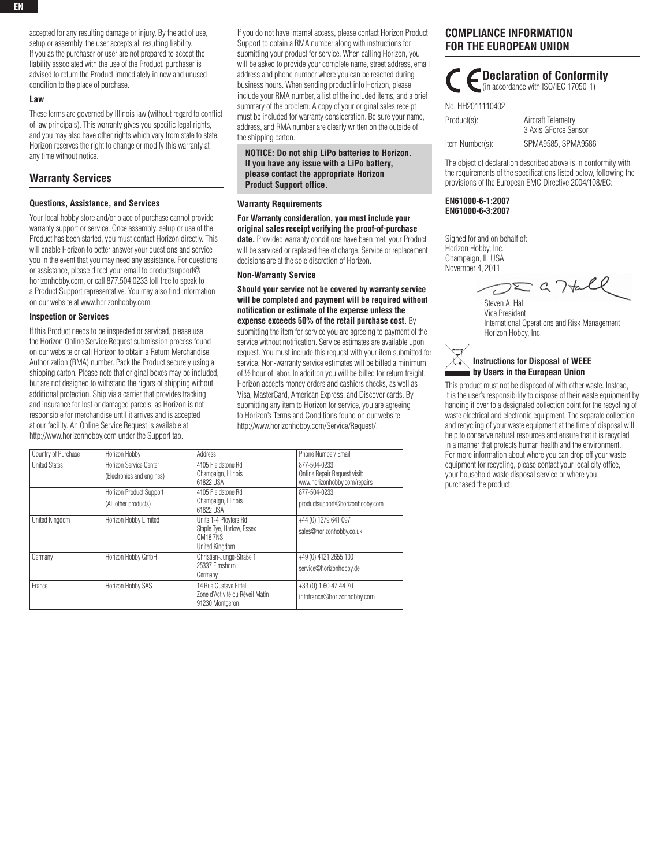accepted for any resulting damage or injury. By the act of use, setup or assembly, the user accepts all resulting liability. If you as the purchaser or user are not prepared to accept the liability associated with the use of the Product, purchaser is advised to return the Product immediately in new and unused condition to the place of purchase.

#### **Law**

These terms are governed by Illinois law (without regard to conflict of law principals). This warranty gives you specific legal rights, and you may also have other rights which vary from state to state. Horizon reserves the right to change or modify this warranty at any time without notice.

#### **Warranty Services**

#### **Questions, Assistance, and Services**

Your local hobby store and/or place of purchase cannot provide warranty support or service. Once assembly, setup or use of the Product has been started, you must contact Horizon directly. This will enable Horizon to better answer your questions and service you in the event that you may need any assistance. For questions or assistance, please direct your email to productsupport@ horizonhobby.com, or call 877.504.0233 toll free to speak to a Product Support representative. You may also find information on our website at www.horizonhobby.com.

#### **Inspection or Services**

If this Product needs to be inspected or serviced, please use the Horizon Online Service Request submission process found on our website or call Horizon to obtain a Return Merchandise Authorization (RMA) number. Pack the Product securely using a shipping carton. Please note that original boxes may be included, but are not designed to withstand the rigors of shipping without additional protection. Ship via a carrier that provides tracking and insurance for lost or damaged parcels, as Horizon is not responsible for merchandise until it arrives and is accepted at our facility. An Online Service Request is available at http://www.horizonhobby.com under the Support tab.

If you do not have internet access, please contact Horizon Product Support to obtain a RMA number along with instructions for submitting your product for service. When calling Horizon, you will be asked to provide your complete name, street address, email address and phone number where you can be reached during business hours. When sending product into Horizon, please include your RMA number, a list of the included items, and a brief summary of the problem. A copy of your original sales receipt must be included for warranty consideration. Be sure your name, address, and RMA number are clearly written on the outside of the shipping carton.

**Notice: Do not ship LiPo batteries to Horizon. If you have any issue with a LiPo battery, please contact the appropriate Horizon Product Support office.**

#### **Warranty Requirements**

**For Warranty consideration, you must include your original sales receipt verifying the proof-of-purchase date.** Provided warranty conditions have been met, your Product will be serviced or replaced free of charge. Service or replacement decisions are at the sole discretion of Horizon.

#### **Non-Warranty Service**

**Should your service not be covered by warranty service will be completed and payment will be required without notification or estimate of the expense unless the expense exceeds 50% of the retail purchase cost.** By

submitting the item for service you are agreeing to payment of the service without notification. Service estimates are available upon request. You must include this request with your item submitted for service. Non-warranty service estimates will be billed a minimum of ½ hour of labor. In addition you will be billed for return freight. Horizon accepts money orders and cashiers checks, as well as Visa, MasterCard, American Express, and Discover cards. By submitting any item to Horizon for service, you are agreeing to Horizon's Terms and Conditions found on our website http://www.horizonhobby.com/Service/Request/.

| Country of Purchase  | Horizon Hobby                                       | Address                                                                                | Phone Number/ Email                                                          |
|----------------------|-----------------------------------------------------|----------------------------------------------------------------------------------------|------------------------------------------------------------------------------|
| <b>United States</b> | Horizon Service Center<br>(Electronics and engines) | 4105 Fieldstone Rd<br>Champaign, Illinois<br>61822 USA                                 | 877-504-0233<br>Online Repair Request visit:<br>www.horizonhobby.com/repairs |
|                      | Horizon Product Support<br>(All other products)     | 4105 Fieldstone Rd<br>Champaign, Illinois<br>61822 USA                                 | 877-504-0233<br>productsupport@horizonhobby.com                              |
| United Kingdom       | Horizon Hobby Limited                               | Units 1-4 Ployters Rd<br>Staple Tye, Harlow, Essex<br><b>CM187NS</b><br>United Kingdom | +44 (0) 1279 641 097<br>sales@horizonhobby.co.uk                             |
| Germany              | Horizon Hobby GmbH                                  | Christian-Junge-Straße 1<br>25337 Elmshorn<br>Germany                                  | +49 (0) 4121 2655 100<br>service@horizonhobby.de                             |
| France               | Horizon Hobby SAS                                   | 14 Rue Gustave Eiffel<br>Zone d'Activité du Réveil Matin<br>91230 Montgeron            | +33 (0) 1 60 47 44 70<br>infofrance@horizonhobby.com                         |

## **Compliance Information for the European Union**

**C** Declaration of Conformity (in accordance with ISO/IEC 17050-1)

| No. HH2011110402 |  |
|------------------|--|
| Product(s):      |  |

Item Number(s): SPMA9585, SPMA9586

The object of declaration described above is in conformity with the requirements of the specifications listed below, following the provisions of the European EMC Directive 2004/108/EC:

Aircraft Telemetry 3 Axis GForce Sensor

**EN61000-6-1:2007 EN61000-6-3:2007** 

Signed for and on behalf of: Horizon Hobby, Inc. Champaign, IL USA November 4, 2011

 $DZG7tell$ 

Steven A. Hall Vice President International Operations and Risk Management Horizon Hobby, Inc.

## **Instructions for Disposal of WEEE by Users in the European Union**

This product must not be disposed of with other waste. Instead, it is the user's responsibility to dispose of their waste equipment by handing it over to a designated collection point for the recycling of waste electrical and electronic equipment. The separate collection and recycling of your waste equipment at the time of disposal will help to conserve natural resources and ensure that it is recycled in a manner that protects human health and the environment. For more information about where you can drop off your waste equipment for recycling, please contact your local city office, your household waste disposal service or where you purchased the product.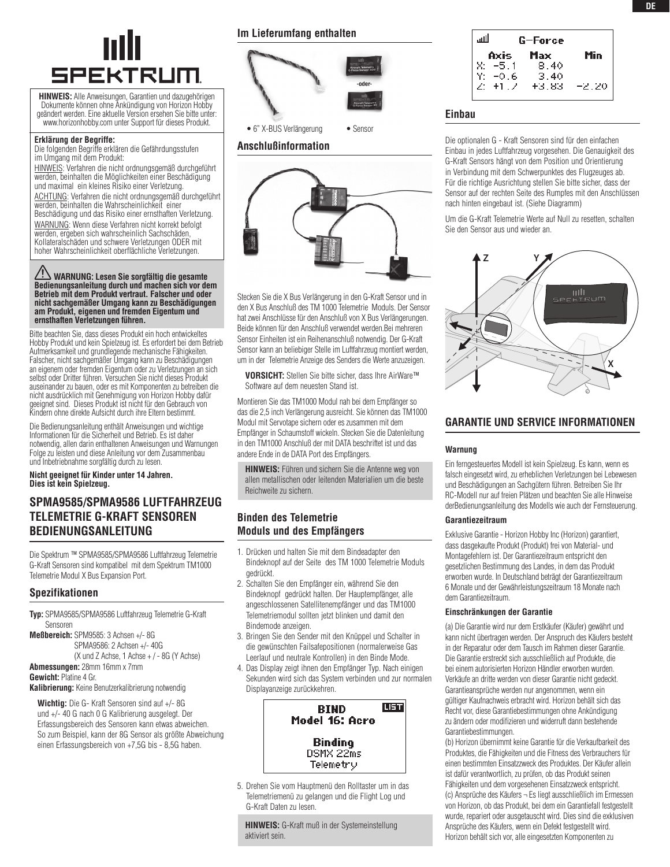# **SPEKTRUM**

**HINWEIS:** Alle Anweisungen, Garantien und dazugehörigen Dokumente können ohne Ankündigung von Horizon Hobby geändert werden. Eine aktuelle Version ersehen Sie bitte unter: www.horizonhobby.com unter Support für dieses Produkt.

#### **Erklärung der Begriffe:**

Die folgenden Begriffe erklären die Gefährdungsstufen im Umgang mit dem Produkt:

HINWEIS: Verfahren die nicht ordnungsgemäß durchgeführt werden, beinhalten die Möglichkeiten einer Beschädigung und maximal ein kleines Risiko einer Verletzung. Achtung: Verfahren die nicht ordnungsgemäß durchgeführt werden, beinhalten die Wahrscheinlichkeit einer Beschädigung und das Risiko einer ernsthaften Verletzung. WARNUNG: Wenn diese Verfahren nicht korrekt befolgt werden, ergeben sich wahrscheinlich Sachschäden, Kollateralschäden und schwere Verletzungen ODER mit hoher Wahrscheinlichkeit oberflächliche Verletzungen.

**Warnung: Lesen Sie sorgfältig die gesamte Bedienungsanleitung durch und machen sich vor dem Betrieb mit dem Produkt vertraut. Falscher und oder nicht sachgemäßer Umgang kann zu Beschädigungen am Produkt, eigenen und fremden Eigentum und ernsthaften Verletzungen führen.** 

Bitte beachten Sie, dass dieses Produkt ein hoch entwickeltes Hobby Produkt und kein Spielzeug ist. Es erfordert bei dem Betrieb Aufmerksamkeit und grundlegende mechanische Fähigkeiten. Falscher, nicht sachgemäßer Umgang kann zu Beschädigungen an eigenem oder fremden Eigentum oder zu Verletzungen an sich selbst oder Dritter führen. Versuchen Sie nicht dieses Produkt auseinander zu bauen, oder es mit Komponenten zu betreiben die nicht ausdrücklich mit Genehmigung von Horizon Hobby dafür geeignet sind. Dieses Produkt ist nicht für den Gebrauch von Kindern ohne direkte Aufsicht durch ihre Eltern bestimmt.

Die Bedienungsanleitung enthält Anweisungen und wichtige Informationen für die Sicherheit und Betrieb. Es ist daher notwendig, allen darin enthaltenen Anweisungen und Warnungen Folge zu leisten und diese Anleitung vor dem Zusammenbau und Inbetriebnahme sorgfältig durch zu lesen.

**Nicht geeignet für Kinder unter 14 Jahren. Dies ist kein Spielzeug.**

## **SPMA9585/SPMA9586 Luftfahrzeug Telemetrie G-Kraft Sensoren Bedienungsanleitung**

Die Spektrum ™ SPMA9585/SPMA9586 Luftfahrzeug Telemetrie G-Kraft Sensoren sind kompatibel mit dem Spektrum TM1000 Telemetrie Modul X Bus Expansion Port.

### **Spezifikationen**

**Typ:** SPMA9585/SPMA9586 Luftfahrzeug Telemetrie G-Kraft Sensoren **Meßbereich:** SPM9585: 3 Achsen +/- 8G

SPMA9586: 2 Achsen +/- 40G  $(X$  und Z Achse, 1 Achse  $+/-8G$  (Y Achse) **Abmessungen:** 28mm 16mm x 7mm **Gewicht:** Platine 4 Gr.

**Kalibrierung:** Keine Benutzerkalibrierung notwendig

**Wichtig:** Die G- Kraft Sensoren sind auf +/- 8G und +/- 40 G nach 0 G Kalibrierung ausgelegt. Der Erfassungsbereich des Sensoren kann etwas abweichen. So zum Beispiel, kann der 8G Sensor als größte Abweichung einen Erfassungsbereich von +7,5G bis - 8,5G haben.

#### **Im Lieferumfang enthalten**



#### **Anschlußinformation**



Stecken Sie die X Bus Verlängerung in den G-Kraft Sensor und in den X Bus Anschluß des TM 1000 Telemetrie Moduls. Der Sensor hat zwei Anschlüsse für den Anschluß von X Bus Verlängerungen. Beide können für den Anschluß verwendet werden.Bei mehreren Sensor Einheiten ist ein Reihenanschluß notwendig. Der G-Kraft Sensor kann an beliebiger Stelle im Luftfahrzeug montiert werden, um in der Telemetrie Anzeige des Senders die Werte anzuzeigen.

**VORSICHT:** Stellen Sie bitte sicher, dass Ihre AirWare™ Software auf dem neuesten Stand ist.

Montieren Sie das TM1000 Modul nah bei dem Empfänger so das die 2,5 inch Verlängerung ausreicht. Sie können das TM1000 Modul mit Servotape sichern oder es zusammen mit dem Empfänger in Schaumstoff wickeln. Stecken Sie die Datenleitung in den TM1000 Anschluß der mit DATA beschriftet ist und das andere Ende in de DATA Port des Empfängers.

**HINWEIS:** Führen und sichern Sie die Antenne weg von allen metallischen oder leitenden Materialien um die beste Reichweite zu sichern.

### **Binden des Telemetrie Moduls und des Empfängers**

- 1. Drücken und halten Sie mit dem Bindeadapter den Bindeknopf auf der Seite des TM 1000 Telemetrie Moduls gedrückt.
- 2. Schalten Sie den Empfänger ein, während Sie den Bindeknopf gedrückt halten. Der Hauptempfänger, alle angeschlossenen Satellitenempfänger und das TM1000 Telemetriemodul sollten jetzt blinken und damit den Bindemode anzeigen.
- 3. Bringen Sie den Sender mit den Knüppel und Schalter in die gewünschten Failsafepositionen (normalerweise Gas Leerlauf und neutrale Kontrollen) in den Binde Mode.
- 4. Das Display zeigt ihnen den Empfänger Typ. Nach einigen Sekunden wird sich das System verbinden und zur normalen Displayanzeige zurückkehren.



5. Drehen Sie vom Hauptmenü den Rolltaster um in das Telemetriemenü zu gelangen und die Flight Log und G-Kraft Daten zu lesen.

**HINWEIS:** G-Kraft muß in der Systemeinstellung aktiviert sein.

#### للس G-Force Max Min Axis X.  $8.40$  $-5.1$  $-0.6$ Y:  $3.40$ Z:  $+1.7$ +3.83  $-2.20$

#### **Einbau**

Die optionalen G - Kraft Sensoren sind für den einfachen Einbau in jedes Luftfahrzeug vorgesehen. Die Genauigkeit des G-Kraft Sensors hängt von dem Position und Orientierung in Verbindung mit dem Schwerpunktes des Flugzeuges ab. Für die richtige Ausrichtung stellen Sie bitte sicher, dass der Sensor auf der rechten Seite des Rumpfes mit den Anschlüssen nach hinten eingebaut ist. (Siehe Diagramm)

Um die G-Kraft Telemetrie Werte auf Null zu resetten, schalten Sie den Sensor aus und wieder an.



### **garantie und service informationen**

#### **Warnung**

Ein ferngesteuertes Modell ist kein Spielzeug. Es kann, wenn es falsch eingesetzt wird, zu erheblichen Verletzungen bei Lebewesen und Beschädigungen an Sachgütern führen. Betreiben Sie Ihr RC-Modell nur auf freien Plätzen und beachten Sie alle Hinweise derBedienungsanleitung des Modells wie auch der Fernsteuerung.

#### **Garantiezeitraum**

Exklusive Garantie - Horizon Hobby Inc (Horizon) garantiert, dass dasgekaufte Produkt (Produkt) frei von Material- und Montagefehlern ist. Der Garantiezeitraum entspricht den gesetzlichen Bestimmung des Landes, in dem das Produkt erworben wurde. In Deutschland beträgt der Garantiezeitraum 6 Monate und der Gewährleistungszeitraum 18 Monate nach dem Garantiezeitraum.

#### **Einschränkungen der Garantie**

(a) Die Garantie wird nur dem Erstkäufer (Käufer) gewährt und kann nicht übertragen werden. Der Anspruch des Käufers besteht in der Reparatur oder dem Tausch im Rahmen dieser Garantie. Die Garantie erstreckt sich ausschließlich auf Produkte, die bei einem autorisierten Horizon Händler erworben wurden. Verkäufe an dritte werden von dieser Garantie nicht gedeckt. Garantieansprüche werden nur angenommen, wenn ein gültiger Kaufnachweis erbracht wird. Horizon behält sich das Recht vor, diese Garantiebestimmungen ohne Ankündigung zu ändern oder modifizieren und widerruft dann bestehende Garantiebestimmungen.

(b) Horizon übernimmt keine Garantie für die Verkaufbarkeit des Produktes, die Fähigkeiten und die Fitness des Verbrauchers für einen bestimmten Einsatzzweck des Produktes. Der Käufer allein ist dafür verantwortlich, zu prüfen, ob das Produkt seinen Fähigkeiten und dem vorgesehenen Einsatzzweck entspricht. (c) Ansprüche des Käufers ¬ Es liegt ausschließlich im Ermessen von Horizon, ob das Produkt, bei dem ein Garantiefall festgestellt wurde, repariert oder ausgetauscht wird. Dies sind die exklusiven Ansprüche des Käufers, wenn ein Defekt festgestellt wird. Horizon behält sich vor, alle eingesetzten Komponenten zu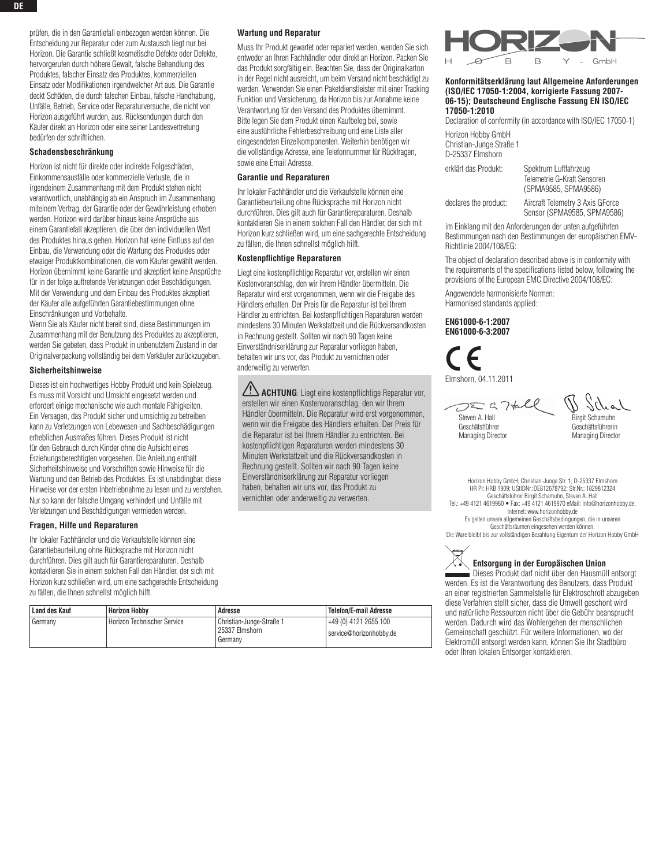prüfen, die in den Garantiefall einbezogen werden können. Die Entscheidung zur Reparatur oder zum Austausch liegt nur bei Horizon. Die Garantie schließt kosmetische Defekte oder Defekte. hervorgerufen durch höhere Gewalt, falsche Behandlung des Produktes, falscher Einsatz des Produktes, kommerziellen Einsatz oder Modifikationen irgendwelcher Art aus. Die Garantie deckt Schäden, die durch falschen Einbau, falsche Handhabung, Unfälle, Betrieb, Service oder Reparaturversuche, die nicht von Horizon ausgeführt wurden, aus. Rücksendungen durch den Käufer direkt an Horizon oder eine seiner Landesvertretung bedürfen der schriftlichen.

#### **Schadensbeschränkung**

Horizon ist nicht für direkte oder indirekte Folgeschäden, Einkommensausfälle oder kommerzielle Verluste, die in irgendeinem Zusammenhang mit dem Produkt stehen nicht verantwortlich, unabhängig ab ein Anspruch im Zusammenhang miteinem Vertrag, der Garantie oder der Gewährleistung erhoben werden. Horizon wird darüber hinaus keine Ansprüche aus einem Garantiefall akzeptieren, die über den individuellen Wert des Produktes hinaus gehen. Horizon hat keine Einfluss auf den Einbau, die Verwendung oder die Wartung des Produktes oder etwaiger Produktkombinationen, die vom Käufer gewählt werden. Horizon übernimmt keine Garantie und akzeptiert keine Ansprüche für in der folge auftretende Verletzungen oder Beschädigungen. Mit der Verwendung und dem Einbau des Produktes akzeptiert der Käufer alle aufgeführten Garantiebestimmungen ohne Einschränkungen und Vorbehalte.

Wenn Sie als Käufer nicht bereit sind, diese Bestimmungen im Zusammenhang mit der Benutzung des Produktes zu akzeptieren, werden Sie gebeten, dass Produkt in unbenutztem Zustand in der Originalverpackung vollständig bei dem Verkäufer zurückzugeben.

#### **Sicherheitshinweise**

Dieses ist ein hochwertiges Hobby Produkt und kein Spielzeug. Es muss mit Vorsicht und Umsicht eingesetzt werden und erfordert einige mechanische wie auch mentale Fähigkeiten. Ein Versagen, das Produkt sicher und umsichtig zu betreiben kann zu Verletzungen von Lebewesen und Sachbeschädigungen erheblichen Ausmaßes führen. Dieses Produkt ist nicht für den Gebrauch durch Kinder ohne die Aufsicht eines Erziehungsberechtigten vorgesehen. Die Anleitung enthält Sicherheitshinweise und Vorschriften sowie Hinweise für die Wartung und den Betrieb des Produktes. Es ist unabdingbar, diese Hinweise vor der ersten Inbetriebnahme zu lesen und zu verstehen. Nur so kann der falsche Umgang verhindert und Unfälle mit Verletzungen und Beschädigungen vermieden werden.

#### **Fragen, Hilfe und Reparaturen**

Ihr lokaler Fachhändler und die Verkaufstelle können eine Garantiebeurteilung ohne Rücksprache mit Horizon nicht durchführen. Dies gilt auch für Garantiereparaturen. Deshalb kontaktieren Sie in einem solchen Fall den Händler, der sich mit Horizon kurz schließen wird, um eine sachgerechte Entscheidung zu fällen, die Ihnen schnellst möglich hilft.

#### **Wartung und Reparatur**

Muss Ihr Produkt gewartet oder repariert werden, wenden Sie sich entweder an Ihren Fachhändler oder direkt an Horizon. Packen Sie das Produkt sorgfältig ein. Beachten Sie, dass der Originalkarton in der Regel nicht ausreicht, um beim Versand nicht beschädigt zu werden. Verwenden Sie einen Paketdienstleister mit einer Tracking Funktion und Versicherung, da Horizon bis zur Annahme keine Verantwortung für den Versand des Produktes übernimmt. Bitte legen Sie dem Produkt einen Kaufbeleg bei, sowie eine ausführliche Fehlerbeschreibung und eine Liste aller eingesendeten Einzelkomponenten. Weiterhin benötigen wir die vollständige Adresse, eine Telefonnummer für Rückfragen, sowie eine Email Adresse.

#### **Garantie und Reparaturen**

Ihr lokaler Fachhändler und die Verkaufstelle können eine Garantiebeurteilung ohne Rücksprache mit Horizon nicht durchführen. Dies gilt auch für Garantiereparaturen. Deshalb kontaktieren Sie in einem solchen Fall den Händler, der sich mit Horizon kurz schließen wird, um eine sachgerechte Entscheidung zu fällen, die Ihnen schnellst möglich hilft.

#### **Kostenpflichtige Reparaturen**

Liegt eine kostenpflichtige Reparatur vor, erstellen wir einen Kostenvoranschlag, den wir Ihrem Händler übermitteln. Die Reparatur wird erst vorgenommen, wenn wir die Freigabe des Händlers erhalten. Der Preis für die Reparatur ist bei Ihrem Händler zu entrichten. Bei kostenpflichtigen Reparaturen werden mindestens 30 Minuten Werkstattzeit und die Rückversandkosten in Rechnung gestellt. Sollten wir nach 90 Tagen keine Einverständniserklärung zur Reparatur vorliegen haben, behalten wir uns vor, das Produkt zu vernichten oder anderweitig zu verwerten.

**ACHTUNG**: Liegt eine kostenpflichtige Reparatur vor, erstellen wir einen Kostenvoranschlag, den wir Ihrem Händler übermitteln. Die Reparatur wird erst vorgenommen, wenn wir die Freigabe des Händlers erhalten. Der Preis für die Reparatur ist bei Ihrem Händler zu entrichten. Bei kostenpflichtigen Reparaturen werden mindestens 30 Minuten Werkstattzeit und die Rückversandkosten in Rechnung gestellt. Sollten wir nach 90 Tagen keine Einverständniserklärung zur Reparatur vorliegen haben, behalten wir uns vor, das Produkt zu vernichten oder anderweitig zu verwerten.

| Land des Kauf | Horizon Hobby                 | <b>Adresse</b>                                        | <b>Telefon/E-mail Adresse</b>                    |
|---------------|-------------------------------|-------------------------------------------------------|--------------------------------------------------|
| Germany       | I Horizon Technischer Service | Christian-Junge-Straße 1<br>25337 Elmshorn<br>Germany | +49 (0) 4121 2655 100<br>service@horizonhobby.de |



#### **Konformitätserklärung laut Allgemeine Anforderungen (ISO/IEC 17050-1:2004, korrigierte Fassung 2007- 06-15); Deutscheund Englische Fassung EN ISO/IEC 17050-1:2010**

Declaration of conformity (in accordance with ISO/IEC 17050-1)

Horizon Hobby GmbH Christian-Junge Straße 1 D-25337 Elmshorn

| erklärt das Produkt:  | Spektrum Luftfahrzeug<br>Telemetrie G-Kraft Sensoren<br>(SPMA9585, SPMA9586) |
|-----------------------|------------------------------------------------------------------------------|
| declares the product: | Aircraft Telemetry 3 Axis GForce<br>Sensor (SPMA9585, SPMA9586)              |

im Einklang mit den Anforderungen der unten aufgeführten Bestimmungen nach den Bestimmungen der europäischen EMV-Richtlinie 2004/108/EG:

The object of declaration described above is in conformity with the requirements of the specifications listed below, following the provisions of the European EMC Directive 2004/108/EC:

Angewendete harmonisierte Normen: Harmonised standards applied:

#### **EN61000-6-1:2007 EN61000-6-3:2007**

Elmshorn, 04.11.2011

 $DZG76$ Steven A. Hall Geschäfstführer Managing Director

**Birgit Schamuhn** Geschäftsführerin Managing Director

Horizon Hobby GmbH; Christian-Junge Str. 1; D-25337 Elmshorn HR Pi: HRB 1909; UStIDNr.:DE812678792; Str.Nr.: 1829812324 Geschäftsführer Birgit Schamuhn, Steven A. Hall Tel.: +49 4121 4619960 • Fax: +49 4121 4619970 eMail: info@horizonhobby.de; Internet: www.horizonhobby.de Es gelten unsere allgemeinen Geschäftsbedingungen, die in unseren Geschäftsräumen eingesehen werden können. Die Ware bleibt bis zur vollständigen Bezahlung Eigentum der Horizon Hobby GmbH



#### **Entsorgung in der Europäischen Union**

Dieses Produkt darf nicht über den Hausmüll entsorgt werden. Es ist die Verantwortung des Benutzers, dass Produkt an einer registrierten Sammelstelle für Elektroschrott abzugeben diese Verfahren stellt sicher, dass die Umwelt geschont wird und natürliche Ressourcen nicht über die Gebühr beansprucht werden. Dadurch wird das Wohlergehen der menschlichen Gemeinschaft geschützt. Für weitere Informationen, wo der Elektromüll entsorgt werden kann, können Sie Ihr Stadtbüro oder Ihren lokalen Entsorger kontaktieren.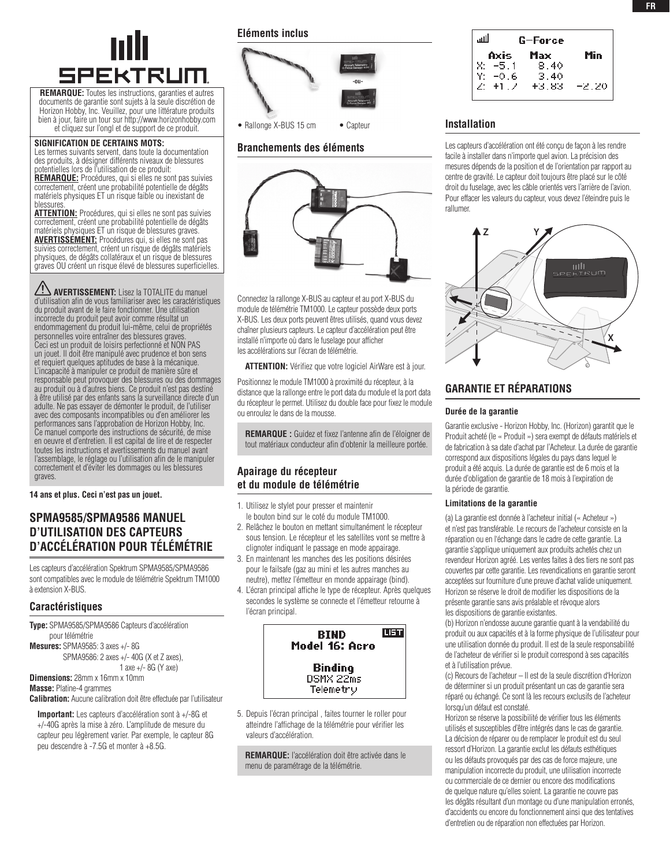

**REMARQUE:** Toutes les instructions, garanties et autres documents de garantie sont sujets à la seule discrétion de Horizon Hobby, Inc. Veuillez, pour une littérature produits bien à jour, faire un tour sur http://www.horizonhobby.com et cliquez sur l'ongl et de support de ce produit.

#### **SIGNIFICATION DE CERTAINS MOTS:**

Les termes suivants servent, dans toute la documentation des produits, à désigner différents niveaux de blessures potentielles lors de l'utilisation de ce produit: **REMARQUE:** Procédures, qui si elles ne sont pas suivies

correctement, créent une probabilité potentielle de dégâts matériels physiques ET un risque faible ou inexistant de blessures.

**ATTENTION:** Procédures, qui si elles ne sont pas suivies correctement, créent une probabilité potentielle de dégâts matériels physiques ET un risque de blessures graves. **AVERTISSEMENT:** Procédures qui, si elles ne sont pas suivies correctement, créent un risque de dégâts matériels physiques, de dégâts collatéraux et un risque de blessures graves OU créent un risque élevé de blessures superficielles.

**AVERTISSEMENT:** Lisez la TOTALITE du manuel d'utilisation afin de vous familiariser avec les caractéristiques du produit avant de le faire fonctionner. Une utilisation incorrecte du produit peut avoir comme résultat un endommagement du produit lui-même, celui de propriétés personnelles voire entraîner des blessures graves. Ceci est un produit de loisirs perfectionné et NON PAS un jouet. Il doit être manipulé avec prudence et bon sens et requiert quelques aptitudes de base à la mécanique. L'incapacité à manipuler ce produit de manière sûre et responsable peut provoquer des blessures ou des dommages au produit ou à d'autres biens. Ce produit n'est pas destiné à être utilisé par des enfants sans la surveillance directe d'un adulte. Ne pas essayer de démonter le produit, de l'utiliser avec des composants incompatibles ou d'en améliorer les performances sans l'approbation de Horizon Hobby, Inc. Ce manuel comporte des instructions de sécurité, de mise en oeuvre et d'entretien. Il est capital de lire et de respecter toutes les instructions et avertissements du manuel avant l'assemblage, le réglage ou l'utilisation afin de le manipuler correctement et d'éviter les dommages ou les blessures graves.

**14 ans et plus. Ceci n'est pas un jouet.**

## **SPMA9585/SPMA9586 Manuel d'utilisation des capteurs d'accélération pour télémétrie**

Les capteurs d'accélération Spektrum SPMA9585/SPMA9586 sont compatibles avec le module de télémétrie Spektrum TM1000 à extension X-BUS.

#### **Caractéristiques**

**Type:** SPMA9585/SPMA9586 Capteurs d'accélération pour télémétrie **Mesures:** SPMA9585: 3 axes +/- 8G SPMA9586: 2 axes +/- 40G (X et Z axes), 1 axe +/- 8G (Y axe)

**Dimensions:** 28mm x 16mm x 10mm

**Masse:** Platine-4 grammes

**Calibration:** Aucune calibration doit être effectuée par l'utilisateur

**Important:** Les capteurs d'accélération sont à +/-8G et +/-40G après la mise à zéro. L'amplitude de mesure du capteur peu légèrement varier. Par exemple, le capteur 8G peu descendre à -7.5G et monter à +8.5G.

**Eléments inclus**



#### **Branchements des éléments**



Connectez la rallonge X-BUS au capteur et au port X-BUS du module de télémétrie TM1000. Le capteur possède deux ports X-BUS. Les deux ports peuvent êtres utilisés, quand vous devez chaîner plusieurs capteurs. Le capteur d'accélération peut être installé n'importe où dans le fuselage pour afficher les accélérations sur l'écran de télémétrie.

**ATTENTION:** Vérifiez que votre logiciel AirWare est à jour.

Positionnez le module TM1000 à proximité du récepteur, à la distance que la rallonge entre le port data du module et la port data du récepteur le permet. Utilisez du double face pour fixez le module ou enroulez le dans de la mousse.

**REMARQUE :** Guidez et fixez l'antenne afin de l'éloigner de tout matériaux conducteur afin d'obtenir la meilleure portée.

### **Apairage du récepteur et du module de télémétrie**

- 1. Utilisez le stylet pour presser et maintenir le bouton bind sur le coté du module TM1000.
- 2. Relâchez le bouton en mettant simultanément le récepteur sous tension. Le récepteur et les satellites vont se mettre à clignoter indiquant le passage en mode appairage.
- 3. En maintenant les manches des les positions désirées pour le failsafe (gaz au mini et les autres manches au neutre), mettez l'émetteur en monde appairage (bind).
- 4. L'écran principal affiche le type de récepteur. Après quelques secondes le système se connecte et l'émetteur retourne à l'écran principal.



5. Depuis l'écran principal , faites tourner le roller pour atteindre l'affichage de la télémétrie pour vérifier les valeurs d'accélération.

**REMARQUE:** l'accélération doit être activée dans le menu de paramétrage de la télémétrie.

| للنس                                                                       | G-Force |  |
|----------------------------------------------------------------------------|---------|--|
| <b>Axis Max Min</b><br>X: -5.1 8.40<br>Y: -0.6 3.40<br>Z: +1.7 +3.83 -2.20 |         |  |
|                                                                            |         |  |
|                                                                            |         |  |
|                                                                            |         |  |
|                                                                            |         |  |

#### **Installation**

Les capteurs d'accélération ont été conçu de façon à les rendre facile à installer dans n'importe quel avion. La précision des mesures dépends de la position et de l'orientation par rapport au centre de gravité. Le capteur doit toujours être placé sur le côté droit du fuselage, avec les câble orientés vers l'arrière de l'avion. Pour effacer les valeurs du capteur, vous devez l'éteindre puis le rallumer.



## **garantie et rÉparations**

#### **Durée de la garantie**

Garantie exclusive - Horizon Hobby, Inc. (Horizon) garantit que le Produit acheté (le « Produit ») sera exempt de défauts matériels et de fabrication à sa date d'achat par l'Acheteur. La durée de garantie correspond aux dispositions légales du pays dans lequel le produit a été acquis. La durée de garantie est de 6 mois et la durée d'obligation de garantie de 18 mois à l'expiration de la période de garantie.

#### **Limitations de la garantie**

(a) La garantie est donnée à l'acheteur initial (« Acheteur ») et n'est pas transférable. Le recours de l'acheteur consiste en la réparation ou en l'échange dans le cadre de cette garantie. La garantie s'applique uniquement aux produits achetés chez un revendeur Horizon agréé. Les ventes faites à des tiers ne sont pas couvertes par cette garantie. Les revendications en garantie seront acceptées sur fourniture d'une preuve d'achat valide uniquement. Horizon se réserve le droit de modifier les dispositions de la présente garantie sans avis préalable et révoque alors les dispositions de garantie existantes.

(b) Horizon n'endosse aucune garantie quant à la vendabilité du produit ou aux capacités et à la forme physique de l'utilisateur pour une utilisation donnée du produit. Il est de la seule responsabilité de l'acheteur de vérifier si le produit correspond à ses capacités et à l'utilisation prévue.

(c) Recours de l'acheteur – Il est de la seule discrétion d'Horizon de déterminer si un produit présentant un cas de garantie sera réparé ou échangé. Ce sont là les recours exclusifs de l'acheteur lorsqu'un défaut est constaté.

Horizon se réserve la possibilité de vérifier tous les éléments utilisés et susceptibles d'être intégrés dans le cas de garantie. La décision de réparer ou de remplacer le produit est du seul ressort d'Horizon. La garantie exclut les défauts esthétiques ou les défauts provoqués par des cas de force majeure, une manipulation incorrecte du produit, une utilisation incorrecte ou commerciale de ce dernier ou encore des modifications de quelque nature qu'elles soient. La garantie ne couvre pas les dégâts résultant d'un montage ou d'une manipulation erronés, d'accidents ou encore du fonctionnement ainsi que des tentatives d'entretien ou de réparation non effectuées par Horizon.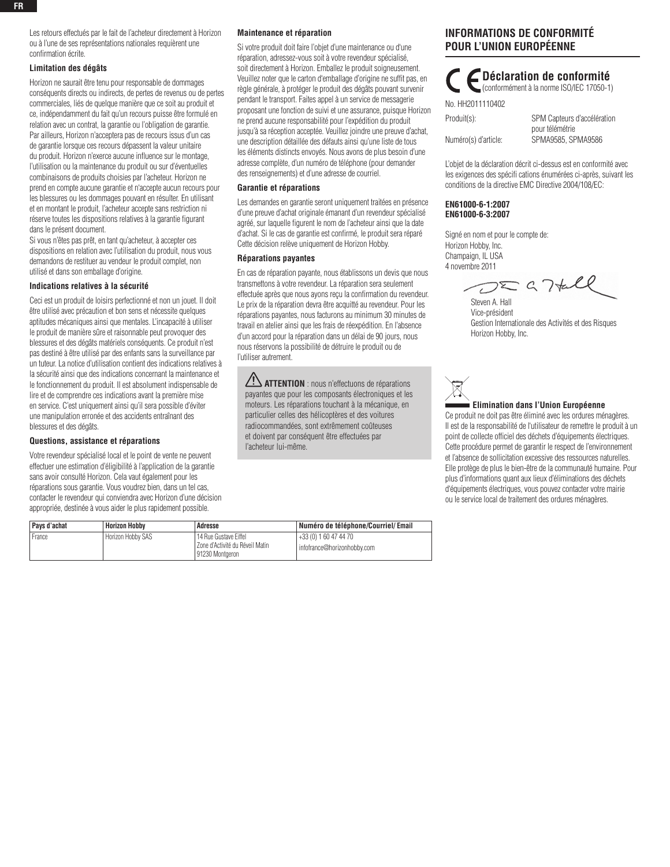Les retours effectués par le fait de l'acheteur directement à Horizon ou à l'une de ses représentations nationales requièrent une confirmation écrite.

#### **Limitation des dégâts**

Horizon ne saurait être tenu pour responsable de dommages conséquents directs ou indirects, de pertes de revenus ou de pertes commerciales, liés de quelque manière que ce soit au produit et ce, indépendamment du fait qu'un recours puisse être formulé en relation avec un contrat, la garantie ou l'obligation de garantie. Par ailleurs, Horizon n'acceptera pas de recours issus d'un cas de garantie lorsque ces recours dépassent la valeur unitaire du produit. Horizon n'exerce aucune influence sur le montage, l'utilisation ou la maintenance du produit ou sur d'éventuelles combinaisons de produits choisies par l'acheteur. Horizon ne prend en compte aucune garantie et n'accepte aucun recours pour les blessures ou les dommages pouvant en résulter. En utilisant et en montant le produit, l'acheteur accepte sans restriction ni réserve toutes les dispositions relatives à la garantie figurant dans le présent document.

Si vous n'êtes pas prêt, en tant qu'acheteur, à accepter ces dispositions en relation avec l'utilisation du produit, nous vous demandons de restituer au vendeur le produit complet, non utilisé et dans son emballage d'origine.

#### **Indications relatives à la sécurité**

Ceci est un produit de loisirs perfectionné et non un jouet. Il doit être utilisé avec précaution et bon sens et nécessite quelques aptitudes mécaniques ainsi que mentales. L'incapacité à utiliser le produit de manière sûre et raisonnable peut provoquer des blessures et des dégâts matériels conséquents. Ce produit n'est pas destiné à être utilisé par des enfants sans la surveillance par un tuteur. La notice d'utilisation contient des indications relatives à la sécurité ainsi que des indications concernant la maintenance et le fonctionnement du produit. Il est absolument indispensable de lire et de comprendre ces indications avant la première mise en service. C'est uniquement ainsi qu'il sera possible d'éviter une manipulation erronée et des accidents entraînant des blessures et des dégâts.

#### **Questions, assistance et réparations**

Votre revendeur spécialisé local et le point de vente ne peuvent effectuer une estimation d'éligibilité à l'application de la garantie sans avoir consulté Horizon. Cela vaut également pour les réparations sous garantie. Vous voudrez bien, dans un tel cas, contacter le revendeur qui conviendra avec Horizon d'une décision appropriée, destinée à vous aider le plus rapidement possible.

#### **Maintenance et réparation**

Si votre produit doit faire l'objet d'une maintenance ou d'une réparation, adressez-vous soit à votre revendeur spécialisé, soit directement à Horizon. Emballez le produit soigneusement. Veuillez noter que le carton d'emballage d'origine ne suffit pas, en règle générale, à protéger le produit des dégâts pouvant survenir pendant le transport. Faites appel à un service de messagerie proposant une fonction de suivi et une assurance, puisque Horizon ne prend aucune responsabilité pour l'expédition du produit jusqu'à sa réception acceptée. Veuillez joindre une preuve d'achat, une description détaillée des défauts ainsi qu'une liste de tous les éléments distincts envoyés. Nous avons de plus besoin d'une adresse complète, d'un numéro de téléphone (pour demander des renseignements) et d'une adresse de courriel.

#### **Garantie et réparations**

Les demandes en garantie seront uniquement traitées en présence d'une preuve d'achat originale émanant d'un revendeur spécialisé agréé, sur laquelle figurent le nom de l'acheteur ainsi que la date d'achat. Si le cas de garantie est confirmé, le produit sera réparé Cette décision relève uniquement de Horizon Hobby.

#### **Réparations payantes**

En cas de réparation payante, nous établissons un devis que nous transmettons à votre revendeur. La réparation sera seulement effectuée après que nous ayons reçu la confirmation du revendeur. Le prix de la réparation devra être acquitté au revendeur. Pour les réparations payantes, nous facturons au minimum 30 minutes de travail en atelier ainsi que les frais de réexpédition. En l'absence d'un accord pour la réparation dans un délai de 90 jours, nous nous réservons la possibilité de détruire le produit ou de l'utiliser autrement.

**ATTENTION** : nous n'effectuons de réparations payantes que pour les composants électroniques et les moteurs. Les réparations touchant à la mécanique, en particulier celles des hélicoptères et des voitures radiocommandées, sont extrêmement coûteuses et doivent par conséquent être effectuées par l'acheteur lui-même.

## **Informations de Conformité pour l'Union Européenne**

**Déclaration de conformité** (conformément à la norme ISO/IEC 17050-1)

| No. HH2011110402     |                                                |
|----------------------|------------------------------------------------|
| Produit(s):          | SPM Capteurs d'accélération<br>pour télémétrie |
| Numéro(s) d'article: | SPMA9585, SPMA9586                             |

L'objet de la déclaration décrit ci-dessus est en conformité avec les exigences des spécifi cations énumérées ci-après, suivant les conditions de la directive EMC Directive 2004/108/EC:

#### **EN61000-6-1:2007 EN61000-6-3:2007**

Signé en nom et pour le compte de: Horizon Hobby, Inc. Champaign, IL USA 4 novembre 2011

 $DZG7tdl$ 

Steven A. Hall Vice-président Gestion Internationale des Activités et des Risques Horizon Hobby, Inc.



Ce produit ne doit pas être éliminé avec les ordures ménagères. Il est de la responsabilité de l'utilisateur de remettre le produit à un point de collecte officiel des déchets d'équipements électriques. Cette procédure permet de garantir le respect de l'environnement et l'absence de sollicitation excessive des ressources naturelles. Elle protège de plus le bien-être de la communauté humaine. Pour plus d'informations quant aux lieux d'éliminations des déchets d'équipements électriques, vous pouvez contacter votre mairie ou le service local de traitement des ordures ménagères.

| Pays d'achat | <b>Horizon Hobby</b> | Adresse                                                                     | Numéro de téléphone/Courriel/Email                     |
|--------------|----------------------|-----------------------------------------------------------------------------|--------------------------------------------------------|
| France       | Horizon Hobby SAS    | 14 Rue Gustave Eiffel<br>Zone d'Activité du Réveil Matin<br>91230 Montaeron | +33 (0) 1 60 47 44 70<br>I infofrance@horizonhobby.com |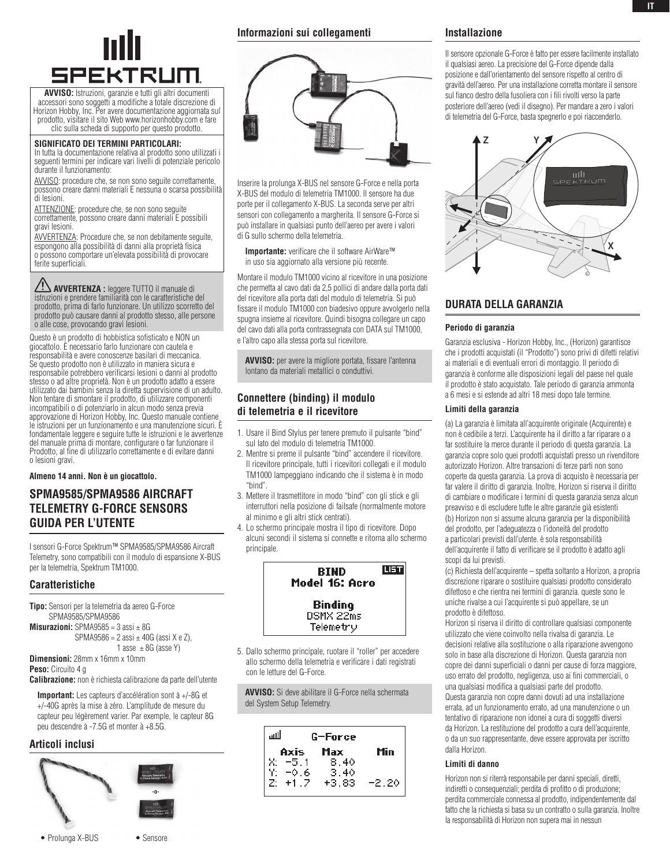# **SPEKTRUM**

**AVVISO:** Istruzioni, garanzie e tutti gli altri documenti accessori sono soggetti a modifiche a totale discrezione di Horizon Hobby, Inc. Per avere documentazione aggiornata sul prodotto, visitare il sito Web www.horizonhobby.com e fare clic sulla scheda di supporto per questo prodotto.

#### **Significato dei termini particolari:**

In tutta la documentazione relativa al prodotto sono utilizzati i seguenti termini per indicare vari livelli di potenziale pericolo durante il funzionamento:

AVVISO: procedure che, se non sono seguite correttamente, possono creare danni materiali E nessuna o scarsa possibilità di lesioni.

ATTENZIONE: procedure che, se non sono seguite correttamente, possono creare danni materiali E possibili gravi lesioni.

AVVERTENZA: Procedure che, se non debitamente seguite, espongono alla possibilità di danni alla proprietà fisica o possono comportare un'elevata possibilità di provocare ferite superficiali.

**AVVERTENZA :** leggere TUTTO il manuale di istruzioni e prendere familiarità con le caratteristiche del prodotto, prima di farlo funzionare. Un utilizzo scorretto del prodotto può causare danni al prodotto stesso, alle persone o alle cose, provocando gravi lesioni.

Questo è un prodotto di hobbistica sofisticato e NON un giocattolo. È necessario farlo funzionare con cautela e responsabilità e avere conoscenze basilari di meccanica. Se questo prodotto non è utilizzato in maniera sicura e responsabile potrebbero verificarsi lesioni o danni al prodotto stesso o ad altre proprietà. Non è un prodotto adatto a essere utilizzato dai bambini senza la diretta supervisione di un adulto. Non tentare di smontare il prodotto, di utilizzare componenti incompatibili o di potenziarlo in alcun modo senza previa approvazione di Horizon Hobby, Inc. Questo manuale contiene le istruzioni per un funzionamento e una manutenzione sicuri. È fondamentale leggere e seguire tutte le istruzioni e le avvertenze del manuale prima di montare, configurare o far funzionare il Prodotto, al fine di utilizzarlo correttamente e di evitare danni o lesioni gravi.

**Almeno 14 anni. Non è un giocattolo.**

## **SPMA9585/SPMA9586 Aircraft Telemetry G-Force sensors Guida per l'utente**

I sensori G-Force Spektrum™ SPMA9585/SPMA9586 Aircraft Telemetry, sono compatibili con il modulo di espansione X-BUS per la telemetria, Spektrum TM1000.

#### **Caratteristiche**

**Tipo:** Sensori per la telemetria da aereo G-Force SPMA9585/SPMA9586 **Misurazioni:** SPMA9585 =  $3$  assi  $\pm$  8G  $SPMA9586 = 2$  assi  $\pm$  40G (assi X e Z), 1 asse  $\pm$  8G (asse Y) **Dimensioni:** 28mm x 16mm x 10mm

**Peso:** Circuito 4 g

**Calibrazione:** non è richiesta calibrazione da parte dell'utente

**Important:** Les capteurs d'accélération sont à +/-8G et +/-40G après la mise à zéro. L'amplitude de mesure du capteur peu légèrement varier. Par exemple, le capteur 8G peu descendre à -7.5G et monter à +8.5G.

### **Articoli inclusi**



#### **Informazioni sui collegamenti**



Inserire la prolunga X-BUS nel sensore G-Force e nella porta X-BUS del modulo di telemetria TM1000. Il sensore ha due porte per il collegamento X-BUS. La seconda serve per altri sensori con collegamento a margherita. Il sensore G-Force si può installare in qualsiasi punto dell'aereo per avere i valori di G sullo schermo della telemetria.

**Importante:** verificare che il software AirWare™ in uso sia aggiornato alla versione più recente.

Montare il modulo TM1000 vicino al ricevitore in una posizione che permetta al cavo dati da 2,5 pollici di andare dalla porta dati del ricevitore alla porta dati del modulo di telemetria. Si può fissare il modulo TM1000 con biadesivo oppure avvolgerlo nella spugna insieme al ricevitore. Quindi bisogna collegare un capo del cavo dati alla porta contrassegnata con DATA sul TM1000, e l'altro capo alla stessa porta sul ricevitore.

**AVVISO:** per avere la migliore portata, fissare l'antenna lontano da materiali metallici o conduttivi.

## **Connettere (binding) il modulo di telemetria e il ricevitore**

- 1. Usare il Bind Stylus per tenere premuto il pulsante "bind" sul lato del modulo di telemetria TM1000.
- 2. Mentre si preme il pulsante "bind" accendere il ricevitore. Il ricevitore principale, tutti i ricevitori collegati e il modulo TM1000 lampeggiano indicando che il sistema è in modo "bind".
- 3. Mettere il trasmettitore in modo "bind" con gli stick e gli interruttori nella posizione di failsafe (normalmente motore al minimo e gli altri stick centrati).
- 4. Lo schermo principale mostra il tipo di ricevitore. Dopo alcuni secondi il sistema si connette e ritorna allo schermo principale.



5. Dallo schermo principale, ruotare il "roller" per accedere allo schermo della telemetria e verificare i dati registrati con le letture del G-Force.

**AVVISO:** Si deve abilitare il G-Force nella schermata del System Setup Telemetry.

| لللا                          | G-Force      |         |  |
|-------------------------------|--------------|---------|--|
| Axis                          | Max          | Min     |  |
|                               | 8.40<br>3.40 |         |  |
| X: −5.1<br>Y: −0.6<br>Z: +1.2 | $+3.83$      | $-2.20$ |  |

#### **Installazione**

Il sensore opzionale G-Force è fatto per essere facilmente installato il qualsiasi aereo. La precisione del G-Force dipende dalla posizione e dall'orientamento del sensore rispetto al centro di gravità dell'aereo. Per una installazione corretta montare il sensore sul fianco destro della fusoliera con i fili rivolti verso la parte posteriore dell'aereo (vedi il disegno). Per mandare a zero i valori di telemetria del G-Force, basta spegnerlo e poi riaccenderlo.



## **durata della garanzia**

#### **Periodo di garanzia**

Garanzia esclusiva - Horizon Hobby, Inc., (Horizon) garantisce che i prodotti acquistati (il "Prodotto") sono privi di difetti relativi ai materiali e di eventuali errori di montaggio. Il periodo di garanzia è conforme alle disposizioni legali del paese nel quale il prodotto è stato acquistato. Tale periodo di garanzia ammonta a 6 mesi e si estende ad altri 18 mesi dopo tale termine.

#### **Limiti della garanzia**

(a) La garanzia è limitata all'acquirente originale (Acquirente) e non è cedibile a terzi. L'acquirente ha il diritto a far riparare o a far sostituire la merce durante il periodo di questa garanzia. La garanzia copre solo quei prodotti acquistati presso un rivenditore autorizzato Horizon. Altre transazioni di terze parti non sono coperte da questa garanzia. La prova di acquisto è necessaria per far valere il diritto di garanzia. Inoltre, Horizon si riserva il diritto di cambiare o modificare i termini di questa garanzia senza alcun preavviso e di escludere tutte le altre garanzie già esistenti (b) Horizon non si assume alcuna garanzia per la disponibilità del prodotto, per l'adeguatezza o l'idoneità del prodotto a particolari previsti dall'utente. è sola responsabilità dell'acquirente il fatto di verificare se il prodotto è adatto agli scopi da lui previsti.

(c) Richiesta dell'acquirente – spetta soltanto a Horizon, a propria discrezione riparare o sostituire qualsiasi prodotto considerato difettoso e che rientra nei termini di garanzia. queste sono le uniche rivalse a cui l'acquirente si può appellare, se un prodotto è difettoso.

Horizon si riserva il diritto di controllare qualsiasi componente utilizzato che viene coinvolto nella rivalsa di garanzia. Le decisioni relative alla sostituzione o alla riparazione avvengono solo in base alla discrezione di Horizon. Questa garanzia non copre dei danni superficiali o danni per cause di forza maggiore, uso errato del prodotto, negligenza, uso ai fini commerciali, o una qualsiasi modifica a qualsiasi parte del prodotto. Questa garanzia non copre danni dovuti ad una installazione errata, ad un funzionamento errato, ad una manutenzione o un tentativo di riparazione non idonei a cura di soggetti diversi da Horizon. La restituzione del prodotto a cura dell'acquirente, o da un suo rappresentante, deve essere approvata per iscritto dalla Horizon.

#### **Limiti di danno**

Horizon non si riterrà responsabile per danni speciali, diretti, indiretti o consequenziali; perdita di profitto o di produzione; perdita commerciale connessa al prodotto, indipendentemente dal fatto che la richiesta si basa su un contratto o sulla garanzia. Inoltre la responsabilità di Horizon non supera mai in nessun